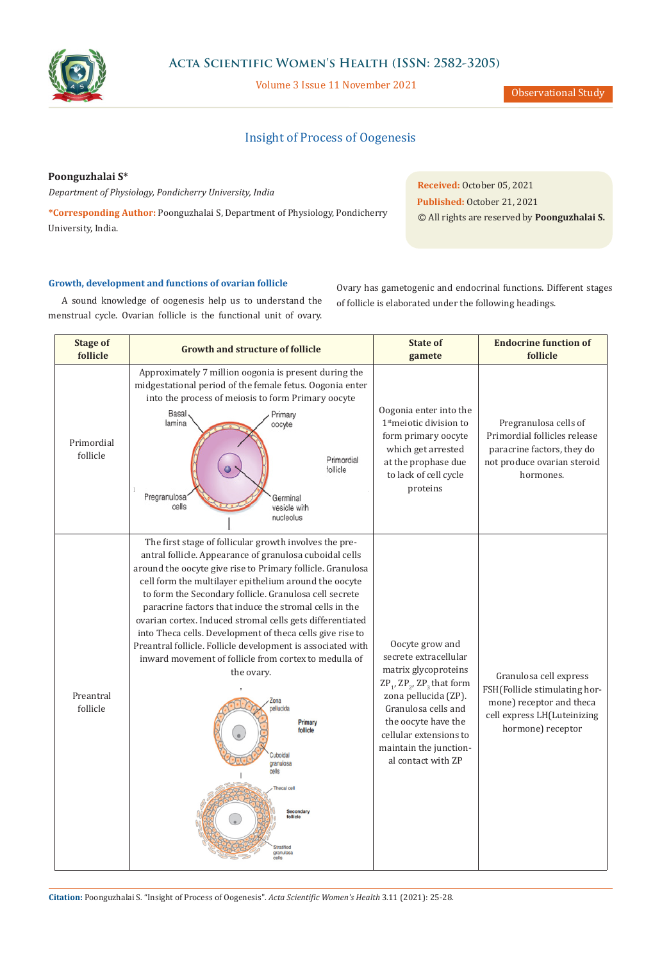

## **Acta Scientific Women's Health (ISSN: 2582-3205)**

Volume 3 Issue 11 November 2021

Observational Study

# Insight of Process of Oogenesis

**Poonguzhalai S\***

*Department of Physiology, Pondicherry University, India*

**\*Corresponding Author:** Poonguzhalai S, Department of Physiology, Pondicherry University, India.

**Received:** October 05, 2021 **Published:** October 21, 2021 © All rights are reserved by **Poonguzhalai S.**

#### **Growth, development and functions of ovarian follicle**

A sound knowledge of oogenesis help us to understand the menstrual cycle. Ovarian follicle is the functional unit of ovary. Ovary has gametogenic and endocrinal functions. Different stages of follicle is elaborated under the following headings.

| <b>Stage of</b><br>follicle | <b>Growth and structure of follicle</b>                                                                                                                                                                                                                                                                                                                                                                                                                                                                                                                                                                                                                                                                                                                                                                 | <b>State of</b><br>gamete                                                                                                                                                                                                                                                   | <b>Endocrine function of</b><br>follicle                                                                                                |
|-----------------------------|---------------------------------------------------------------------------------------------------------------------------------------------------------------------------------------------------------------------------------------------------------------------------------------------------------------------------------------------------------------------------------------------------------------------------------------------------------------------------------------------------------------------------------------------------------------------------------------------------------------------------------------------------------------------------------------------------------------------------------------------------------------------------------------------------------|-----------------------------------------------------------------------------------------------------------------------------------------------------------------------------------------------------------------------------------------------------------------------------|-----------------------------------------------------------------------------------------------------------------------------------------|
| Primordial<br>follicle      | Approximately 7 million oogonia is present during the<br>midgestational period of the female fetus. Oogonia enter<br>into the process of meiosis to form Primary oocyte<br>Basal<br>Primary<br>lamina<br>oocyte<br>Primordial<br>follicle<br>Pregranulosa<br>Germinal<br>cells<br>vesicle with<br>nucleolus                                                                                                                                                                                                                                                                                                                                                                                                                                                                                             | Oogonia enter into the<br>1 <sup>st</sup> meiotic division to<br>form primary oocyte<br>which get arrested<br>at the prophase due<br>to lack of cell cycle<br>proteins                                                                                                      | Pregranulosa cells of<br>Primordial follicles release<br>paracrine factors, they do<br>not produce ovarian steroid<br>hormones.         |
| Preantral<br>follicle       | The first stage of follicular growth involves the pre-<br>antral follicle. Appearance of granulosa cuboidal cells<br>around the oocyte give rise to Primary follicle. Granulosa<br>cell form the multilayer epithelium around the oocyte<br>to form the Secondary follicle. Granulosa cell secrete<br>paracrine factors that induce the stromal cells in the<br>ovarian cortex. Induced stromal cells gets differentiated<br>into Theca cells. Development of theca cells give rise to<br>Preantral follicle. Follicle development is associated with<br>inward movement of follicle from cortex to medulla of<br>the ovary.<br>Zona<br>pellucida<br><b>Primary</b><br>follicle<br>Cuboidal<br>granulosa<br>cells<br>hecal cel<br><b>Secondary</b><br>ollicle<br><b>tratified</b><br>granulosa<br>cells | Oocyte grow and<br>secrete extracellular<br>matrix glycoproteins<br>$\text{ZP}_1$ , $\text{ZP}_2$ , $\text{ZP}_3$ that form<br>zona pellucida (ZP).<br>Granulosa cells and<br>the oocyte have the<br>cellular extensions to<br>maintain the junction-<br>al contact with ZP | Granulosa cell express<br>FSH(Follicle stimulating hor-<br>mone) receptor and theca<br>cell express LH(Luteinizing<br>hormone) receptor |

**Citation:** Poonguzhalai S*.* "Insight of Process of Oogenesis". *Acta Scientific Women's Health* 3.11 (2021): 25-28.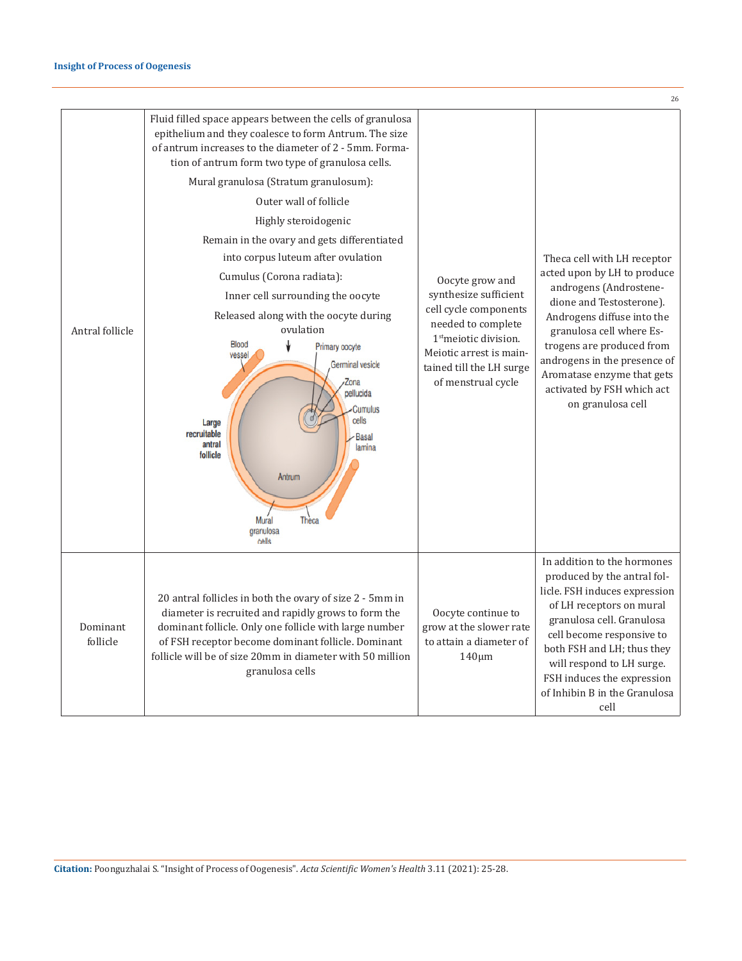|                      |                                                                                                                                                                                                                                                                                                                                                                                                                                                                                                                                                                                                                                                                                                                                                                                                |                                                                                                                                                                                                           | 26                                                                                                                                                                                                                                                                                                                       |
|----------------------|------------------------------------------------------------------------------------------------------------------------------------------------------------------------------------------------------------------------------------------------------------------------------------------------------------------------------------------------------------------------------------------------------------------------------------------------------------------------------------------------------------------------------------------------------------------------------------------------------------------------------------------------------------------------------------------------------------------------------------------------------------------------------------------------|-----------------------------------------------------------------------------------------------------------------------------------------------------------------------------------------------------------|--------------------------------------------------------------------------------------------------------------------------------------------------------------------------------------------------------------------------------------------------------------------------------------------------------------------------|
| Antral follicle      | Fluid filled space appears between the cells of granulosa<br>epithelium and they coalesce to form Antrum. The size<br>of antrum increases to the diameter of 2 - 5mm. Forma-<br>tion of antrum form two type of granulosa cells.<br>Mural granulosa (Stratum granulosum):<br>Outer wall of follicle<br>Highly steroidogenic<br>Remain in the ovary and gets differentiated<br>into corpus luteum after ovulation<br>Cumulus (Corona radiata):<br>Inner cell surrounding the oocyte<br>Released along with the oocyte during<br>ovulation<br>↓<br><b>Blood</b><br>Primary oocyte<br>vessel<br><b>Germinal vesicle</b><br>Zona<br>pellucida<br><b>Cumulus</b><br>cells<br>Large<br>recruitable<br><b>Basal</b><br>antral<br>lamina<br>follicle<br>Antrum<br>Mural<br>Theca<br>granulosa<br>cells | Oocyte grow and<br>synthesize sufficient<br>cell cycle components<br>needed to complete<br>1 <sup>st</sup> meiotic division.<br>Meiotic arrest is main-<br>tained till the LH surge<br>of menstrual cycle | Theca cell with LH receptor<br>acted upon by LH to produce<br>androgens (Androstene-<br>dione and Testosterone).<br>Androgens diffuse into the<br>granulosa cell where Es-<br>trogens are produced from<br>androgens in the presence of<br>Aromatase enzyme that gets<br>activated by FSH which act<br>on granulosa cell |
| Dominant<br>follicle | 20 antral follicles in both the ovary of size 2 - 5mm in<br>diameter is recruited and rapidly grows to form the<br>dominant follicle. Only one follicle with large number<br>of FSH receptor become dominant follicle. Dominant<br>follicle will be of size 20mm in diameter with 50 million<br>granulosa cells                                                                                                                                                                                                                                                                                                                                                                                                                                                                                | Oocyte continue to<br>grow at the slower rate<br>to attain a diameter of<br>$140 \mu m$                                                                                                                   | In addition to the hormones<br>produced by the antral fol-<br>licle. FSH induces expression<br>of LH receptors on mural<br>granulosa cell. Granulosa<br>cell become responsive to<br>both FSH and LH; thus they<br>will respond to LH surge.<br>FSH induces the expression<br>of Inhibin B in the Granulosa<br>cell      |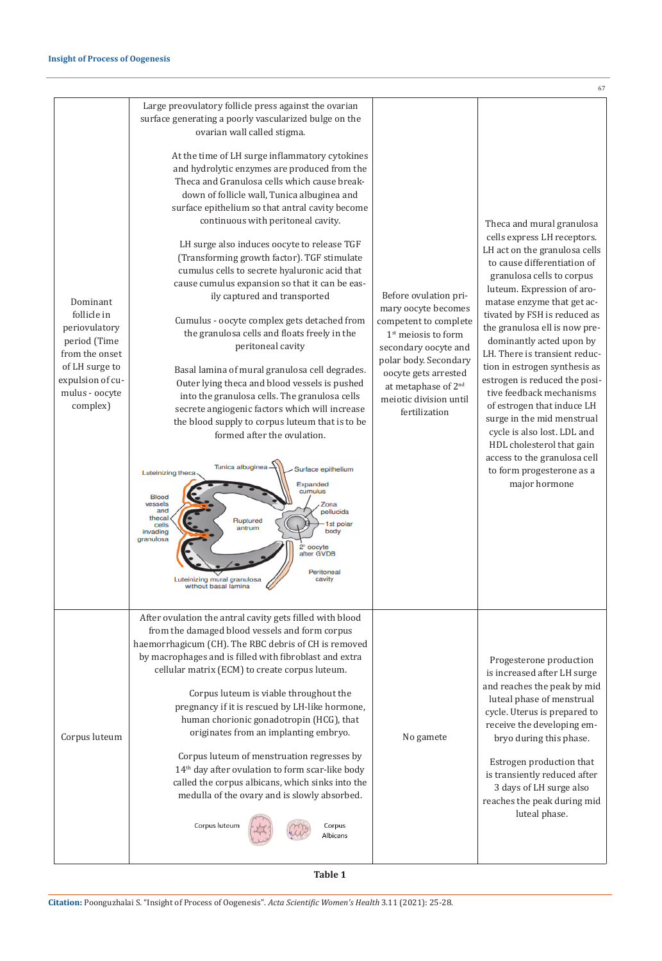|                                                                                                                                                |                                                                                                                                                                                                                                                                                                                                                                                                                                                                                                                                                                                                                                                                                                                                                                                                                                                                                                                                                                                                                                                                                                                                                                                                                                                                                                                                                                                                                                  |                                                                                                                                                                                                                                                       | 6                                                                                                                                                                                                                                                                                                                                                                                                                                                                                                                                                                                                                                                   |
|------------------------------------------------------------------------------------------------------------------------------------------------|----------------------------------------------------------------------------------------------------------------------------------------------------------------------------------------------------------------------------------------------------------------------------------------------------------------------------------------------------------------------------------------------------------------------------------------------------------------------------------------------------------------------------------------------------------------------------------------------------------------------------------------------------------------------------------------------------------------------------------------------------------------------------------------------------------------------------------------------------------------------------------------------------------------------------------------------------------------------------------------------------------------------------------------------------------------------------------------------------------------------------------------------------------------------------------------------------------------------------------------------------------------------------------------------------------------------------------------------------------------------------------------------------------------------------------|-------------------------------------------------------------------------------------------------------------------------------------------------------------------------------------------------------------------------------------------------------|-----------------------------------------------------------------------------------------------------------------------------------------------------------------------------------------------------------------------------------------------------------------------------------------------------------------------------------------------------------------------------------------------------------------------------------------------------------------------------------------------------------------------------------------------------------------------------------------------------------------------------------------------------|
| Dominant<br>follicle in<br>periovulatory<br>period (Time<br>from the onset<br>of LH surge to<br>expulsion of cu-<br>mulus - oocyte<br>complex) | Large preovulatory follicle press against the ovarian<br>surface generating a poorly vascularized bulge on the<br>ovarian wall called stigma.<br>At the time of LH surge inflammatory cytokines<br>and hydrolytic enzymes are produced from the<br>Theca and Granulosa cells which cause break-<br>down of follicle wall, Tunica albuginea and<br>surface epithelium so that antral cavity become<br>continuous with peritoneal cavity.<br>LH surge also induces oocyte to release TGF<br>(Transforming growth factor). TGF stimulate<br>cumulus cells to secrete hyaluronic acid that<br>cause cumulus expansion so that it can be eas-<br>ily captured and transported<br>Cumulus - oocyte complex gets detached from<br>the granulosa cells and floats freely in the<br>peritoneal cavity<br>Basal lamina of mural granulosa cell degrades.<br>Outer lying theca and blood vessels is pushed<br>into the granulosa cells. The granulosa cells<br>secrete angiogenic factors which will increase<br>the blood supply to corpus luteum that is to be<br>formed after the ovulation.<br>Tunica albuginea<br>Surface epithelium<br>Luteinizing theca<br>Expanded<br>cumulus<br><b>Blood</b><br>vessels<br>Zona<br>and<br>pellucida<br>thecal<br>Ruptured<br>st polar<br>cells<br>antrum<br>body<br>invading<br>granulosa<br>2° oocyte<br>after GVDB<br>Peritoneal<br>cavity<br>Luteinizing mural granulos<br>without basal lamina | Before ovulation pri-<br>mary oocyte becomes<br>competent to complete<br>$1st$ meiosis to form<br>secondary oocyte and<br>polar body. Secondary<br>oocyte gets arrested<br>at metaphase of 2 <sup>nd</sup><br>meiotic division until<br>fertilization | Theca and mural granulosa<br>cells express LH receptors.<br>LH act on the granulosa cells<br>to cause differentiation of<br>granulosa cells to corpus<br>luteum. Expression of aro-<br>matase enzyme that get ac-<br>tivated by FSH is reduced as<br>the granulosa ell is now pre-<br>dominantly acted upon by<br>LH. There is transient reduc-<br>tion in estrogen synthesis as<br>estrogen is reduced the posi-<br>tive feedback mechanisms<br>of estrogen that induce LH<br>surge in the mid menstrual<br>cycle is also lost. LDL and<br>HDL cholesterol that gain<br>access to the granulosa cell<br>to form progesterone as a<br>major hormone |
| Corpus luteum                                                                                                                                  | After ovulation the antral cavity gets filled with blood<br>from the damaged blood vessels and form corpus<br>haemorrhagicum (CH). The RBC debris of CH is removed<br>by macrophages and is filled with fibroblast and extra<br>cellular matrix (ECM) to create corpus luteum.<br>Corpus luteum is viable throughout the<br>pregnancy if it is rescued by LH-like hormone,<br>human chorionic gonadotropin (HCG), that<br>originates from an implanting embryo.<br>Corpus luteum of menstruation regresses by<br>14 <sup>th</sup> day after ovulation to form scar-like body<br>called the corpus albicans, which sinks into the<br>medulla of the ovary and is slowly absorbed.<br>Corpus luteum<br>Corpus<br>Albicans                                                                                                                                                                                                                                                                                                                                                                                                                                                                                                                                                                                                                                                                                                          | No gamete                                                                                                                                                                                                                                             | Progesterone production<br>is increased after LH surge<br>and reaches the peak by mid<br>luteal phase of menstrual<br>cycle. Uterus is prepared to<br>receive the developing em-<br>bryo during this phase.<br>Estrogen production that<br>is transiently reduced after<br>3 days of LH surge also<br>reaches the peak during mid<br>luteal phase.                                                                                                                                                                                                                                                                                                  |

7